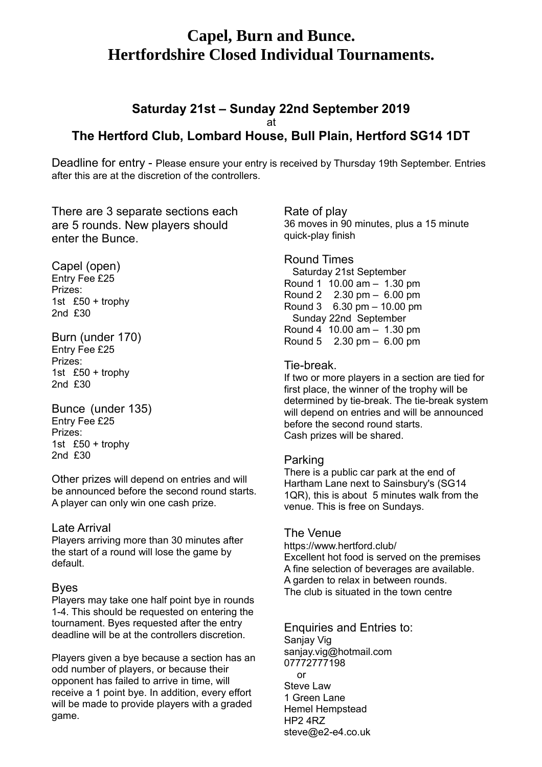# **Capel, Burn and Bunce. Hertfordshire Closed Individual Tournaments.**

## **Saturday 21st – Sunday 22nd September 2019** at **The Hertford Club, Lombard House, Bull Plain, Hertford SG14 1DT**

Deadline for entry - Please ensure your entry is received by Thursday 19th September. Entries after this are at the discretion of the controllers.

There are 3 separate sections each are 5 rounds. New players should enter the Bunce.

Capel (open) Entry Fee £25 Prizes: 1st £50 + trophy 2nd £30

Burn (under 170) Entry Fee £25 Prizes: 1st £50 + trophy 2nd £30

Bunce (under 135) Entry Fee £25 Prizes: 1st £50 + trophy 2nd £30

Other prizes will depend on entries and will be announced before the second round starts. A player can only win one cash prize.

#### Late Arrival

Players arriving more than 30 minutes after the start of a round will lose the game by default.

#### Byes

Players may take one half point bye in rounds 1-4. This should be requested on entering the tournament. Byes requested after the entry deadline will be at the controllers discretion.

Players given a bye because a section has an odd number of players, or because their opponent has failed to arrive in time, will receive a 1 point bye. In addition, every effort will be made to provide players with a graded game.

Rate of play 36 moves in 90 minutes, plus a 15 minute quick-play finish

#### Round Times

 Saturday 21st September Round 1 10.00 am – 1.30 pm Round 2 2.30 pm – 6.00 pm Round 3 6.30 pm – 10.00 pm Sunday 22nd September Round 4 10.00 am – 1.30 pm Round 5 2.30 pm – 6.00 pm

### Tie-break.

If two or more players in a section are tied for first place, the winner of the trophy will be determined by tie-break. The tie-break system will depend on entries and will be announced before the second round starts. Cash prizes will be shared.

### Parking

There is a public car park at the end of Hartham Lane next to Sainsbury's (SG14 1QR), this is about 5 minutes walk from the venue. This is free on Sundays.

#### The Venue

https://www.hertford.club/ Excellent hot food is served on the premises A fine selection of beverages are available. A garden to relax in between rounds. The club is situated in the town centre

Enquiries and Entries to: Sanjay Vig sanjay.vig@hotmail.com 07772777198 or Steve Law 1 Green Lane Hemel Hempstead HP2 4RZ steve@e2-e4.co.uk